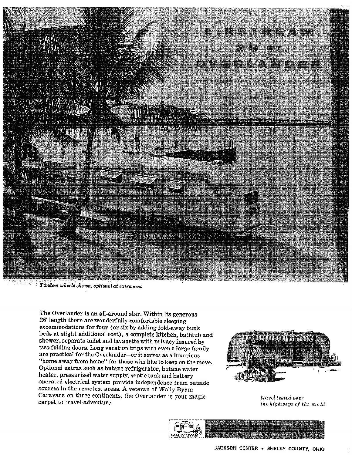

Tandem wheels shown, optional at extra cost

The Overlander is an all-around star. Within its generous 26' length there are wonderfully comfortable sleeping accommodations for four (or six by adding fold-away bunk beds at slight additional cost), a complete kitchen, bathtub and shower, separate toilet and lavanette with privacy insured by two folding doors. Long vacation trips with even a large family are practical for the Overlander-or it serves as a luxurious "home away from home" for those who like to keep on the move. Optional extras such as butane refrigerator, butane water heater, pressurized water supply, septic tank and battery operated electrical system provide independence from outside sources in the remotest areas. A veteran of Wally Byam Caravans on three continents, the Overlander is your magic carpet to travel-adventure.



travel tested over the highways of the world